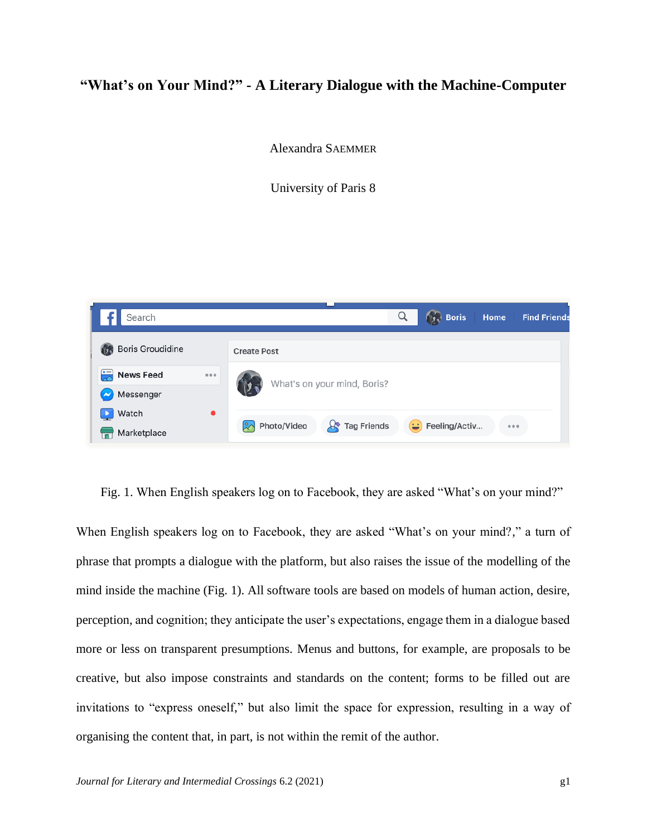# **"What's on Your Mind?" - A Literary Dialogue with the Machine-Computer**

Alexandra SAEMMER

University of Paris 8



Fig. 1. When English speakers log on to Facebook, they are asked "What's on your mind?"

When English speakers log on to Facebook, they are asked "What's on your mind?," a turn of phrase that prompts a dialogue with the platform, but also raises the issue of the modelling of the mind inside the machine (Fig. 1). All software tools are based on models of human action, desire, perception, and cognition; they anticipate the user's expectations, engage them in a dialogue based more or less on transparent presumptions. Menus and buttons, for example, are proposals to be creative, but also impose constraints and standards on the content; forms to be filled out are invitations to "express oneself," but also limit the space for expression, resulting in a way of organising the content that, in part, is not within the remit of the author.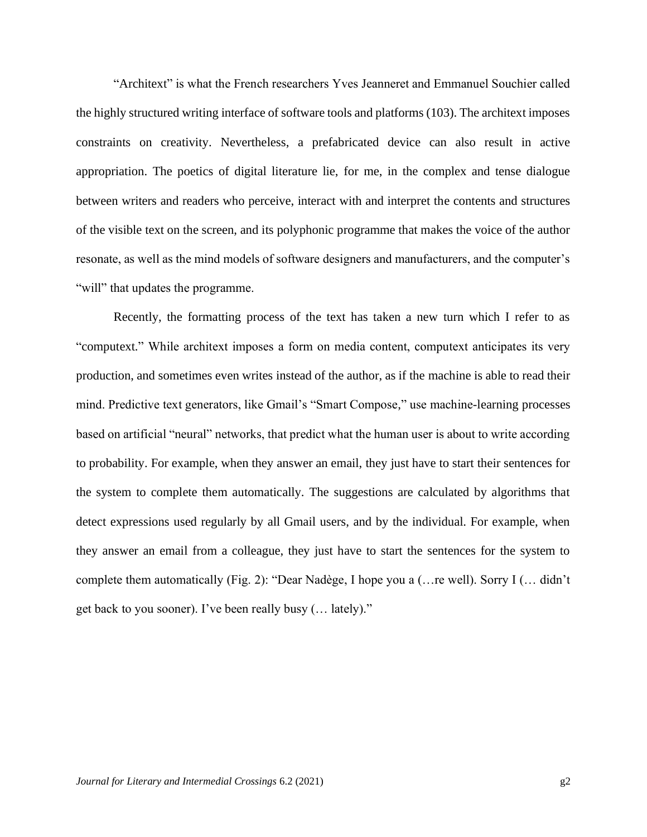"Architext" is what the French researchers Yves Jeanneret and Emmanuel Souchier called the highly structured writing interface of software tools and platforms (103). The architext imposes constraints on creativity. Nevertheless, a prefabricated device can also result in active appropriation. The poetics of digital literature lie, for me, in the complex and tense dialogue between writers and readers who perceive, interact with and interpret the contents and structures of the visible text on the screen, and its polyphonic programme that makes the voice of the author resonate, as well as the mind models of software designers and manufacturers, and the computer's "will" that updates the programme.

Recently, the formatting process of the text has taken a new turn which I refer to as "computext." While architext imposes a form on media content, computext anticipates its very production, and sometimes even writes instead of the author, as if the machine is able to read their mind. Predictive text generators, like Gmail's "Smart Compose," use machine-learning processes based on artificial "neural" networks, that predict what the human user is about to write according to probability. For example, when they answer an email, they just have to start their sentences for the system to complete them automatically. The suggestions are calculated by algorithms that detect expressions used regularly by all Gmail users, and by the individual. For example, when they answer an email from a colleague, they just have to start the sentences for the system to complete them automatically (Fig. 2): "Dear Nadège, I hope you a (…re well). Sorry I (… didn't get back to you sooner). I've been really busy (… lately)."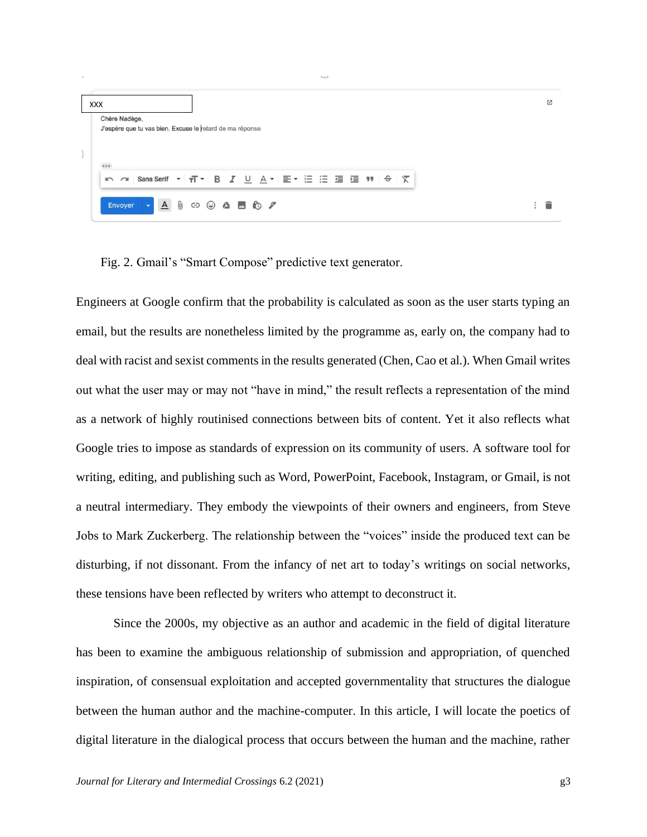| <b>XXX</b>    |                                                                              | 内 |
|---------------|------------------------------------------------------------------------------|---|
| Chère Nadège, | J'espère que tu vas bien. Excuse le retard de ma réponse                     |   |
|               |                                                                              |   |
| $\cdots$      |                                                                              |   |
|               | <u>      Sans Serif ▼   귀▼   B   Z   U   A</u> ▼   E ▼   三 三 三 三   9   9   文 |   |
| Envoyer       |                                                                              |   |

Fig. 2. Gmail's "Smart Compose" predictive text generator.

Engineers at Google confirm that the probability is calculated as soon as the user starts typing an email, but the results are nonetheless limited by the programme as, early on, the company had to deal with racist and sexist comments in the results generated (Chen, Cao et al.). When Gmail writes out what the user may or may not "have in mind," the result reflects a representation of the mind as a network of highly routinised connections between bits of content. Yet it also reflects what Google tries to impose as standards of expression on its community of users. A software tool for writing, editing, and publishing such as Word, PowerPoint, Facebook, Instagram, or Gmail, is not a neutral intermediary. They embody the viewpoints of their owners and engineers, from Steve Jobs to Mark Zuckerberg. The relationship between the "voices" inside the produced text can be disturbing, if not dissonant. From the infancy of net art to today's writings on social networks, these tensions have been reflected by writers who attempt to deconstruct it.

Since the 2000s, my objective as an author and academic in the field of digital literature has been to examine the ambiguous relationship of submission and appropriation, of quenched inspiration, of consensual exploitation and accepted governmentality that structures the dialogue between the human author and the machine-computer. In this article, I will locate the poetics of digital literature in the dialogical process that occurs between the human and the machine, rather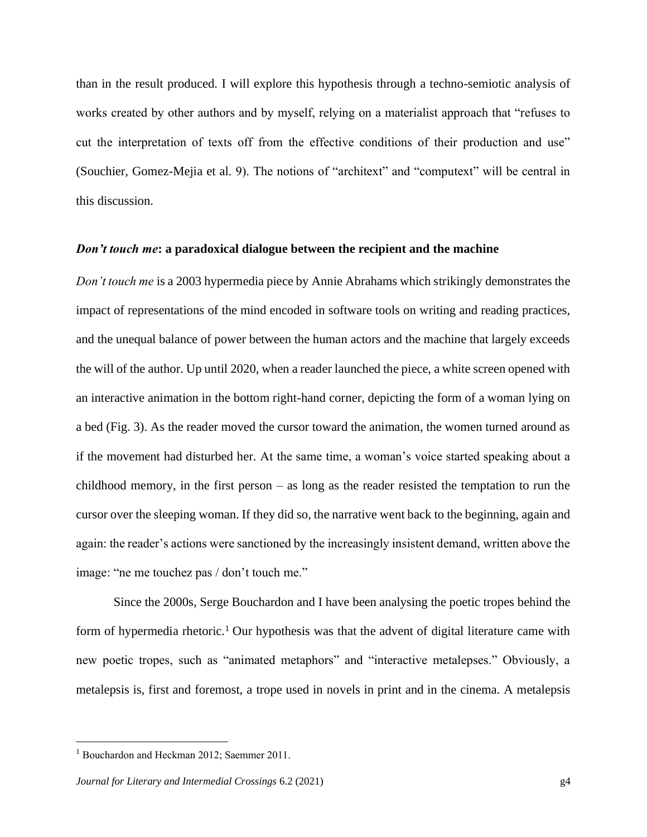than in the result produced. I will explore this hypothesis through a techno-semiotic analysis of works created by other authors and by myself, relying on a materialist approach that "refuses to cut the interpretation of texts off from the effective conditions of their production and use" (Souchier, Gomez-Mejia et al. 9). The notions of "architext" and "computext" will be central in this discussion.

#### *Don't touch me***: a paradoxical dialogue between the recipient and the machine**

*Don't touch me* is a 2003 hypermedia piece by Annie Abrahams which strikingly demonstrates the impact of representations of the mind encoded in software tools on writing and reading practices, and the unequal balance of power between the human actors and the machine that largely exceeds the will of the author. Up until 2020, when a reader launched the piece, a white screen opened with an interactive animation in the bottom right-hand corner, depicting the form of a woman lying on a bed (Fig. 3). As the reader moved the cursor toward the animation, the women turned around as if the movement had disturbed her. At the same time, a woman's voice started speaking about a childhood memory, in the first person – as long as the reader resisted the temptation to run the cursor over the sleeping woman. If they did so, the narrative went back to the beginning, again and again: the reader's actions were sanctioned by the increasingly insistent demand, written above the image: "ne me touchez pas / don't touch me."

Since the 2000s, Serge Bouchardon and I have been analysing the poetic tropes behind the form of hypermedia rhetoric.<sup>1</sup> Our hypothesis was that the advent of digital literature came with new poetic tropes, such as "animated metaphors" and "interactive metalepses." Obviously, a metalepsis is, first and foremost, a trope used in novels in print and in the cinema. A metalepsis

<sup>&</sup>lt;sup>1</sup> Bouchardon and Heckman 2012; Saemmer 2011.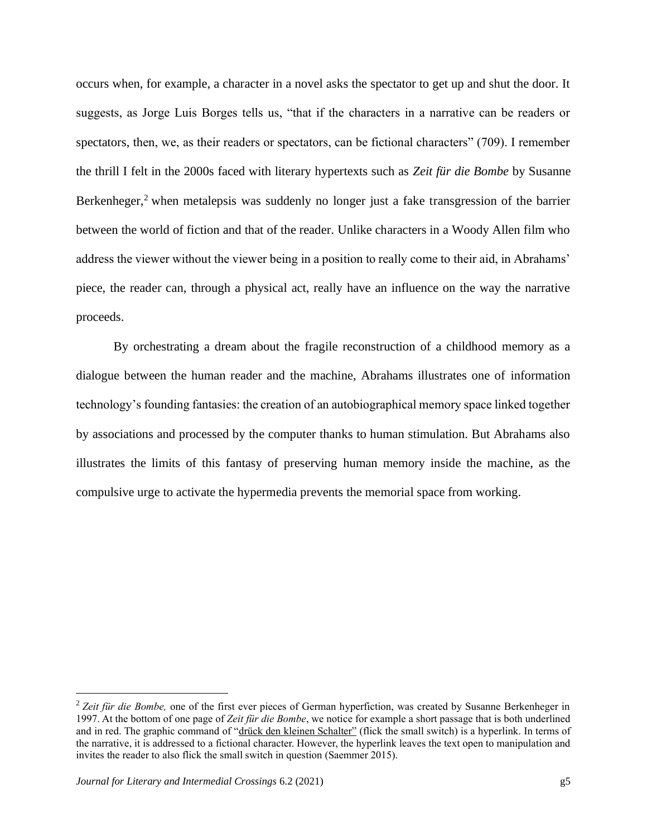occurs when, for example, a character in a novel asks the spectator to get up and shut the door. It suggests, as Jorge Luis Borges tells us, "that if the characters in a narrative can be readers or spectators, then, we, as their readers or spectators, can be fictional characters" (709). I remember the thrill I felt in the 2000s faced with literary hypertexts such as *Zeit für die Bombe* by Susanne Berkenheger,<sup>2</sup> when metalepsis was suddenly no longer just a fake transgression of the barrier between the world of fiction and that of the reader. Unlike characters in a Woody Allen film who address the viewer without the viewer being in a position to really come to their aid, in Abrahams' piece, the reader can, through a physical act, really have an influence on the way the narrative proceeds.

By orchestrating a dream about the fragile reconstruction of a childhood memory as a dialogue between the human reader and the machine, Abrahams illustrates one of information technology's founding fantasies: the creation of an autobiographical memory space linked together by associations and processed by the computer thanks to human stimulation. But Abrahams also illustrates the limits of this fantasy of preserving human memory inside the machine, as the compulsive urge to activate the hypermedia prevents the memorial space from working.

<sup>&</sup>lt;sup>2</sup> Zeit für die Bombe, one of the first ever pieces of German hyperfiction, was created by Susanne Berkenheger in 1997. At the bottom of one page of *Zeit für die Bombe*, we notice for example a short passage that is both underlined and in red. The graphic command of "drück den kleinen Schalter" (flick the small switch) is a hyperlink. In terms of the narrative, it is addressed to a fictional character. However, the hyperlink leaves the text open to manipulation and invites the reader to also flick the small switch in question (Saemmer 2015).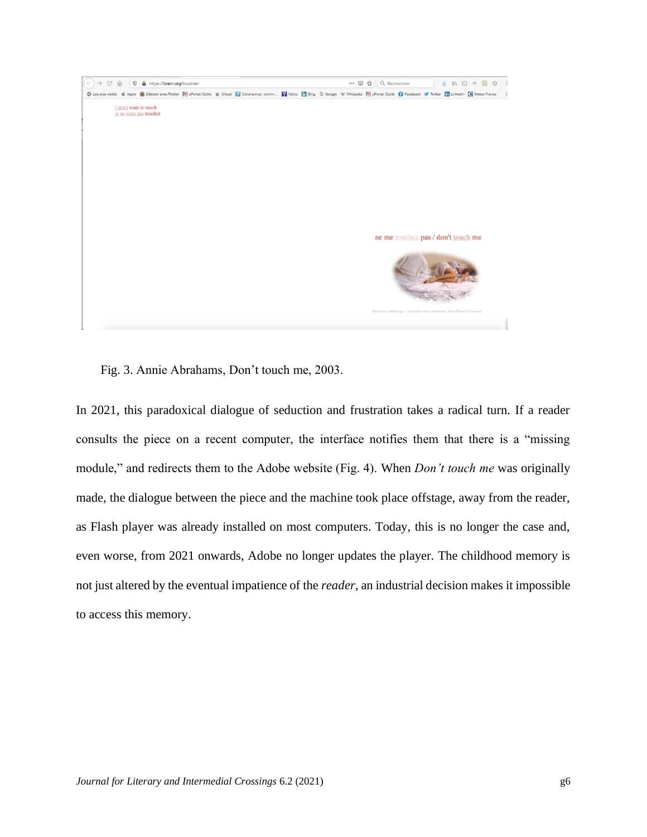

Fig. 3. Annie Abrahams, Don't touch me, 2003.

In 2021, this paradoxical dialogue of seduction and frustration takes a radical turn. If a reader consults the piece on a recent computer, the interface notifies them that there is a "missing module," and redirects them to the Adobe website (Fig. 4). When *Don't touch me* was originally made, the dialogue between the piece and the machine took place offstage, away from the reader, as Flash player was already installed on most computers. Today, this is no longer the case and, even worse, from 2021 onwards, Adobe no longer updates the player. The childhood memory is not just altered by the eventual impatience of the *reader*, an industrial decision makes it impossible to access this memory.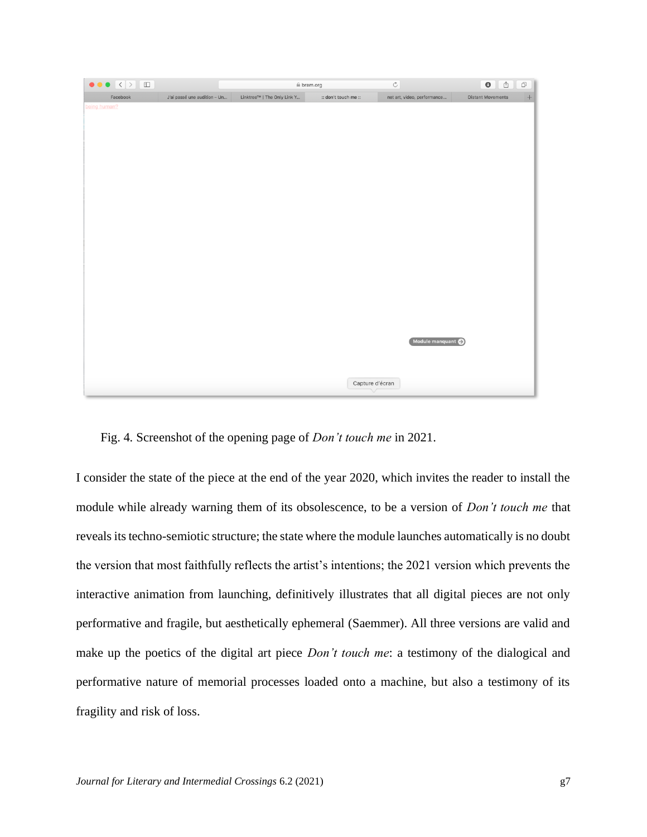| Linktree™   The Only Link Y<br>J'ai passé une audition - Un<br>Facebook | :: don't touch me :: | $\boldsymbol{+}$<br>net art, video, performance<br><b>Distant Movements</b> |
|-------------------------------------------------------------------------|----------------------|-----------------------------------------------------------------------------|
| being human?                                                            |                      |                                                                             |
|                                                                         |                      |                                                                             |
|                                                                         |                      |                                                                             |
|                                                                         |                      |                                                                             |
|                                                                         |                      |                                                                             |
|                                                                         |                      |                                                                             |
|                                                                         |                      |                                                                             |
|                                                                         |                      |                                                                             |
|                                                                         |                      |                                                                             |
|                                                                         |                      |                                                                             |
|                                                                         |                      |                                                                             |
|                                                                         |                      |                                                                             |
|                                                                         |                      |                                                                             |
|                                                                         |                      |                                                                             |
|                                                                         |                      |                                                                             |
|                                                                         |                      |                                                                             |
|                                                                         |                      |                                                                             |
|                                                                         |                      |                                                                             |
|                                                                         |                      |                                                                             |
|                                                                         |                      |                                                                             |
|                                                                         |                      | Module manquant                                                             |
|                                                                         |                      |                                                                             |
|                                                                         |                      |                                                                             |
|                                                                         | Capture d'écran      |                                                                             |
|                                                                         |                      |                                                                             |

Fig. 4*.* Screenshot of the opening page of *Don't touch me* in 2021.

I consider the state of the piece at the end of the year 2020, which invites the reader to install the module while already warning them of its obsolescence, to be a version of *Don't touch me* that reveals its techno-semiotic structure; the state where the module launches automatically is no doubt the version that most faithfully reflects the artist's intentions; the 2021 version which prevents the interactive animation from launching, definitively illustrates that all digital pieces are not only performative and fragile, but aesthetically ephemeral (Saemmer). All three versions are valid and make up the poetics of the digital art piece *Don't touch me*: a testimony of the dialogical and performative nature of memorial processes loaded onto a machine, but also a testimony of its fragility and risk of loss.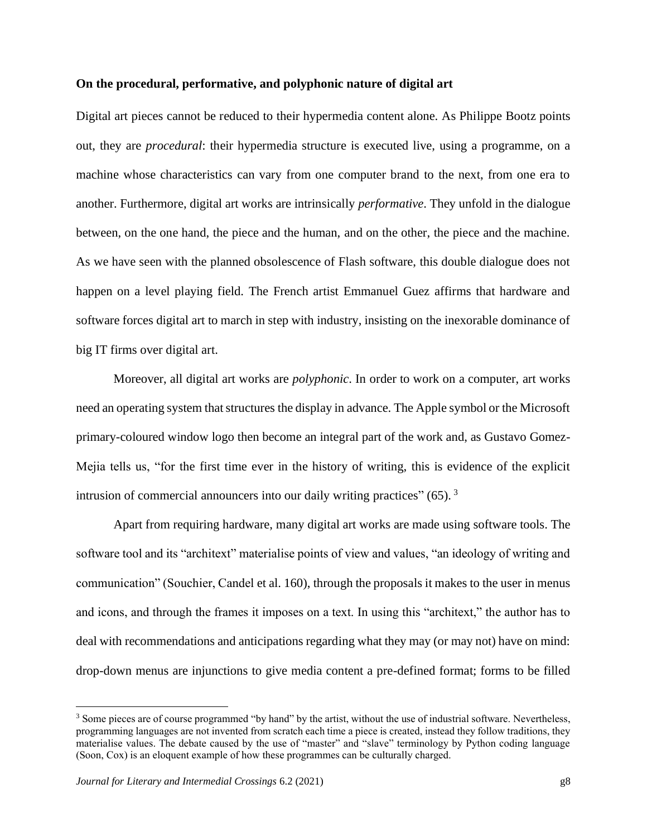# **On the procedural, performative, and polyphonic nature of digital art**

Digital art pieces cannot be reduced to their hypermedia content alone. As Philippe Bootz points out, they are *procedural*: their hypermedia structure is executed live, using a programme, on a machine whose characteristics can vary from one computer brand to the next, from one era to another. Furthermore, digital art works are intrinsically *performative*. They unfold in the dialogue between, on the one hand, the piece and the human, and on the other, the piece and the machine. As we have seen with the planned obsolescence of Flash software, this double dialogue does not happen on a level playing field. The French artist Emmanuel Guez affirms that hardware and software forces digital art to march in step with industry, insisting on the inexorable dominance of big IT firms over digital art.

Moreover, all digital art works are *polyphonic*. In order to work on a computer, art works need an operating system that structures the display in advance. The Apple symbol or the Microsoft primary-coloured window logo then become an integral part of the work and, as Gustavo Gomez-Mejia tells us, "for the first time ever in the history of writing, this is evidence of the explicit intrusion of commercial announcers into our daily writing practices"  $(65)$ .<sup>3</sup>

Apart from requiring hardware, many digital art works are made using software tools. The software tool and its "architext" materialise points of view and values, "an ideology of writing and communication" (Souchier, Candel et al. 160), through the proposals it makes to the user in menus and icons, and through the frames it imposes on a text. In using this "architext," the author has to deal with recommendations and anticipations regarding what they may (or may not) have on mind: drop-down menus are injunctions to give media content a pre-defined format; forms to be filled

<sup>&</sup>lt;sup>3</sup> Some pieces are of course programmed "by hand" by the artist, without the use of industrial software. Nevertheless, programming languages are not invented from scratch each time a piece is created, instead they follow traditions, they materialise values. The debate caused by the use of "master" and "slave" terminology by Python coding language (Soon, Cox) is an eloquent example of how these programmes can be culturally charged.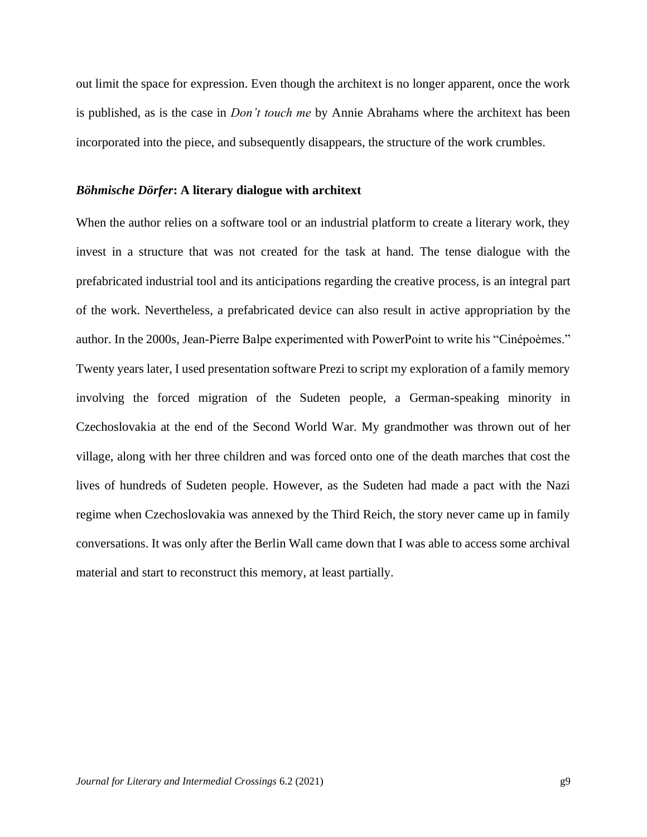out limit the space for expression. Even though the architext is no longer apparent, once the work is published, as is the case in *Don't touch me* by Annie Abrahams where the architext has been incorporated into the piece, and subsequently disappears, the structure of the work crumbles.

#### *Böhmische Dörfer***: A literary dialogue with architext**

When the author relies on a software tool or an industrial platform to create a literary work, they invest in a structure that was not created for the task at hand. The tense dialogue with the prefabricated industrial tool and its anticipations regarding the creative process, is an integral part of the work. Nevertheless, a prefabricated device can also result in active appropriation by the author. In the 2000s, Jean-Pierre Balpe experimented with PowerPoint to write his "Cinépoèmes." Twenty years later, I used presentation software Prezi to script my exploration of a family memory involving the forced migration of the Sudeten people, a German-speaking minority in Czechoslovakia at the end of the Second World War. My grandmother was thrown out of her village, along with her three children and was forced onto one of the death marches that cost the lives of hundreds of Sudeten people. However, as the Sudeten had made a pact with the Nazi regime when Czechoslovakia was annexed by the Third Reich, the story never came up in family conversations. It was only after the Berlin Wall came down that I was able to access some archival material and start to reconstruct this memory, at least partially.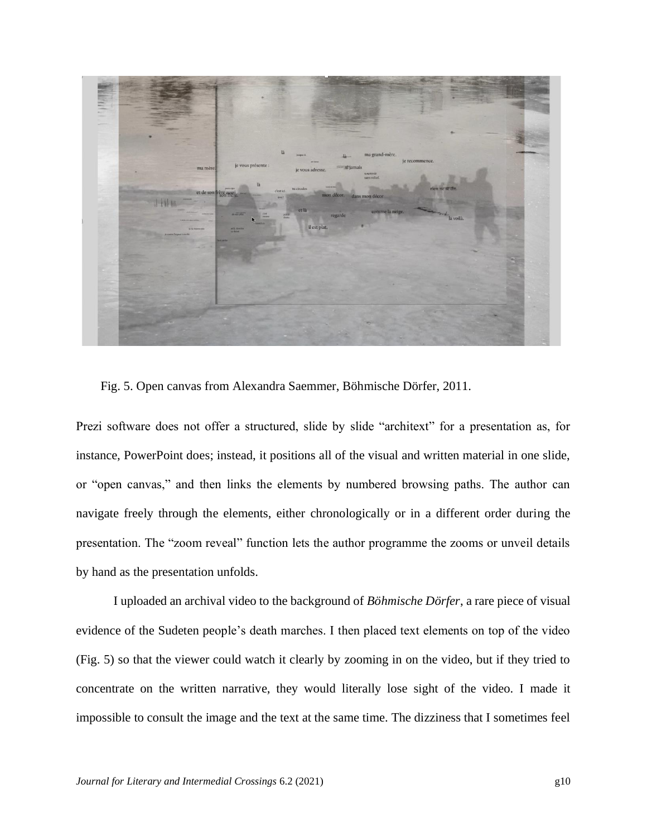

Fig. 5. Open canvas from Alexandra Saemmer, Böhmische Dörfer, 2011.

Prezi software does not offer a structured, slide by slide "architext" for a presentation as, for instance, PowerPoint does; instead, it positions all of the visual and written material in one slide, or "open canvas," and then links the elements by numbered browsing paths. The author can navigate freely through the elements, either chronologically or in a different order during the presentation. The "zoom reveal" function lets the author programme the zooms or unveil details by hand as the presentation unfolds.

I uploaded an archival video to the background of *Böhmische Dörfer*, a rare piece of visual evidence of the Sudeten people's death marches. I then placed text elements on top of the video (Fig. 5) so that the viewer could watch it clearly by zooming in on the video, but if they tried to concentrate on the written narrative, they would literally lose sight of the video. I made it impossible to consult the image and the text at the same time. The dizziness that I sometimes feel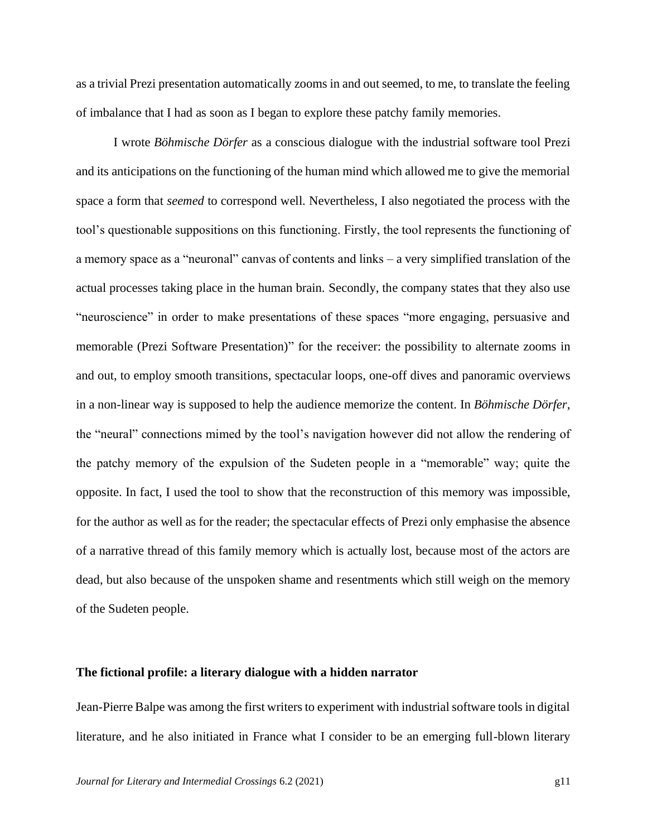as a trivial Prezi presentation automatically zooms in and out seemed, to me, to translate the feeling of imbalance that I had as soon as I began to explore these patchy family memories.

I wrote *Böhmische Dörfer* as a conscious dialogue with the industrial software tool Prezi and its anticipations on the functioning of the human mind which allowed me to give the memorial space a form that *seemed* to correspond well. Nevertheless, I also negotiated the process with the tool's questionable suppositions on this functioning. Firstly, the tool represents the functioning of a memory space as a "neuronal" canvas of contents and links – a very simplified translation of the actual processes taking place in the human brain. Secondly, the company states that they also use "neuroscience" in order to make presentations of these spaces "more engaging, persuasive and memorable (Prezi Software Presentation)" for the receiver: the possibility to alternate zooms in and out, to employ smooth transitions, spectacular loops, one-off dives and panoramic overviews in a non-linear way is supposed to help the audience memorize the content. In *Böhmische Dörfer*, the "neural" connections mimed by the tool's navigation however did not allow the rendering of the patchy memory of the expulsion of the Sudeten people in a "memorable" way; quite the opposite. In fact, I used the tool to show that the reconstruction of this memory was impossible, for the author as well as for the reader; the spectacular effects of Prezi only emphasise the absence of a narrative thread of this family memory which is actually lost, because most of the actors are dead, but also because of the unspoken shame and resentments which still weigh on the memory of the Sudeten people.

## **The fictional profile: a literary dialogue with a hidden narrator**

Jean-Pierre Balpe was among the first writers to experiment with industrial software tools in digital literature, and he also initiated in France what I consider to be an emerging full-blown literary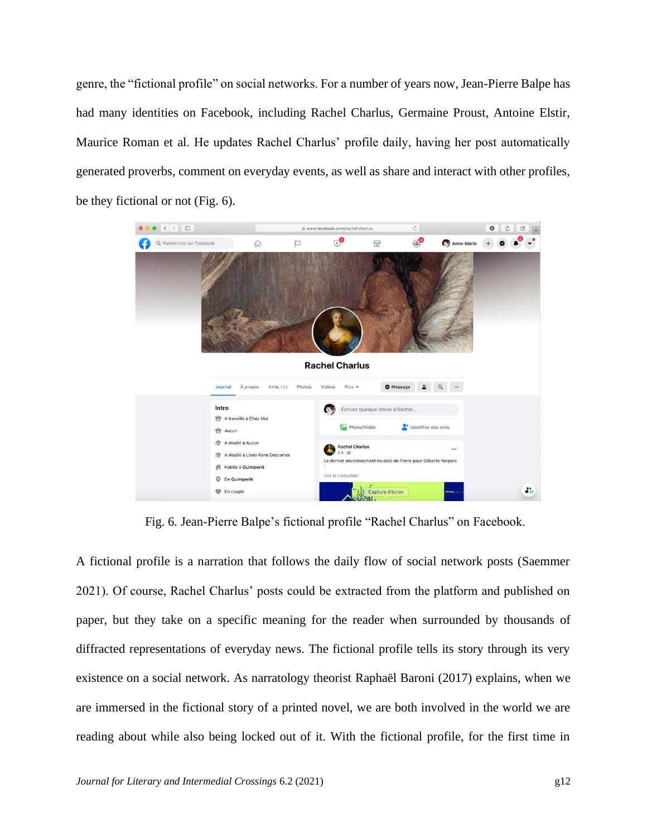genre, the "fictional profile" on social networks. For a number of years now, Jean-Pierre Balpe has had many identities on Facebook, including Rachel Charlus, Germaine Proust, Antoine Elstir, Maurice Roman et al. He updates Rachel Charlus' profile daily, having her post automatically generated proverbs, comment on everyday events, as well as share and interact with other profiles, be they fictional or not (Fig. 6).



Fig. 6*.* Jean-Pierre Balpe's fictional profile "Rachel Charlus" on Facebook.

A fictional profile is a narration that follows the daily flow of social network posts (Saemmer 2021). Of course, Rachel Charlus' posts could be extracted from the platform and published on paper, but they take on a specific meaning for the reader when surrounded by thousands of diffracted representations of everyday news. The fictional profile tells its story through its very existence on a social network. As narratology theorist Raphaël Baroni (2017) explains, when we are immersed in the fictional story of a printed novel, we are both involved in the world we are reading about while also being locked out of it. With the fictional profile, for the first time in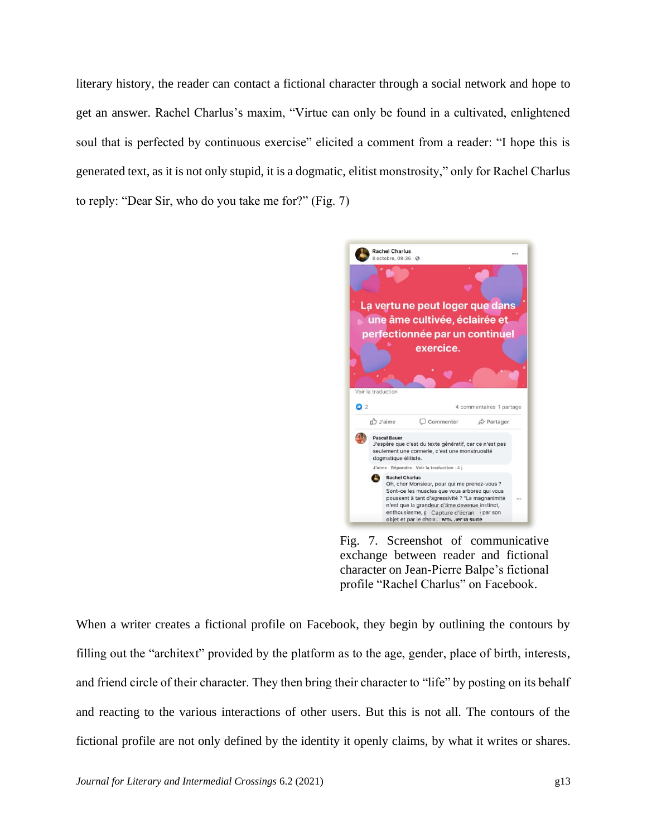literary history, the reader can contact a fictional character through a social network and hope to get an answer. Rachel Charlus's maxim, "Virtue can only be found in a cultivated, enlightened soul that is perfected by continuous exercise" elicited a comment from a reader: "I hope this is generated text, as it is not only stupid, it is a dogmatic, elitist monstrosity," only for Rachel Charlus to reply: "Dear Sir, who do you take me for?" (Fig. 7)



Fig. 7. Screenshot of communicative exchange between reader and fictional character on Jean-Pierre Balpe's fictional profile "Rachel Charlus" on Facebook.

When a writer creates a fictional profile on Facebook, they begin by outlining the contours by filling out the "architext" provided by the platform as to the age, gender, place of birth, interests, and friend circle of their character. They then bring their character to "life" by posting on its behalf and reacting to the various interactions of other users. But this is not all. The contours of the fictional profile are not only defined by the identity it openly claims, by what it writes or shares.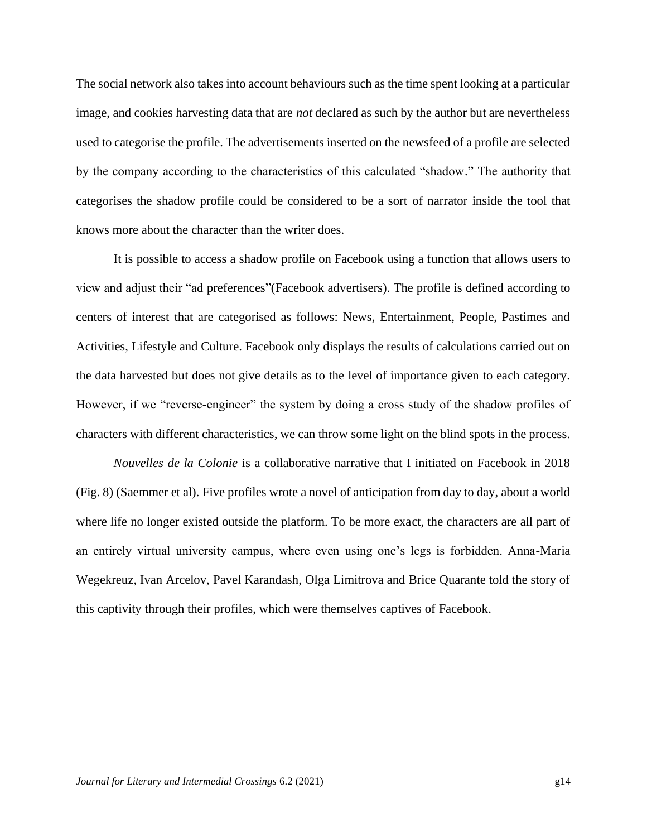The social network also takes into account behaviours such as the time spent looking at a particular image, and cookies harvesting data that are *not* declared as such by the author but are nevertheless used to categorise the profile. The advertisements inserted on the newsfeed of a profile are selected by the company according to the characteristics of this calculated "shadow." The authority that categorises the shadow profile could be considered to be a sort of narrator inside the tool that knows more about the character than the writer does.

It is possible to access a shadow profile on Facebook using a function that allows users to view and adjust their "ad preferences"(Facebook advertisers). The profile is defined according to centers of interest that are categorised as follows: News, Entertainment, People, Pastimes and Activities, Lifestyle and Culture. Facebook only displays the results of calculations carried out on the data harvested but does not give details as to the level of importance given to each category. However, if we "reverse-engineer" the system by doing a cross study of the shadow profiles of characters with different characteristics, we can throw some light on the blind spots in the process.

*Nouvelles de la Colonie* is a collaborative narrative that I initiated on Facebook in 2018 (Fig. 8) (Saemmer et al). Five profiles wrote a novel of anticipation from day to day, about a world where life no longer existed outside the platform. To be more exact, the characters are all part of an entirely virtual university campus, where even using one's legs is forbidden. Anna-Maria Wegekreuz, Ivan Arcelov, Pavel Karandash, Olga Limitrova and Brice Quarante told the story of this captivity through their profiles, which were themselves captives of Facebook.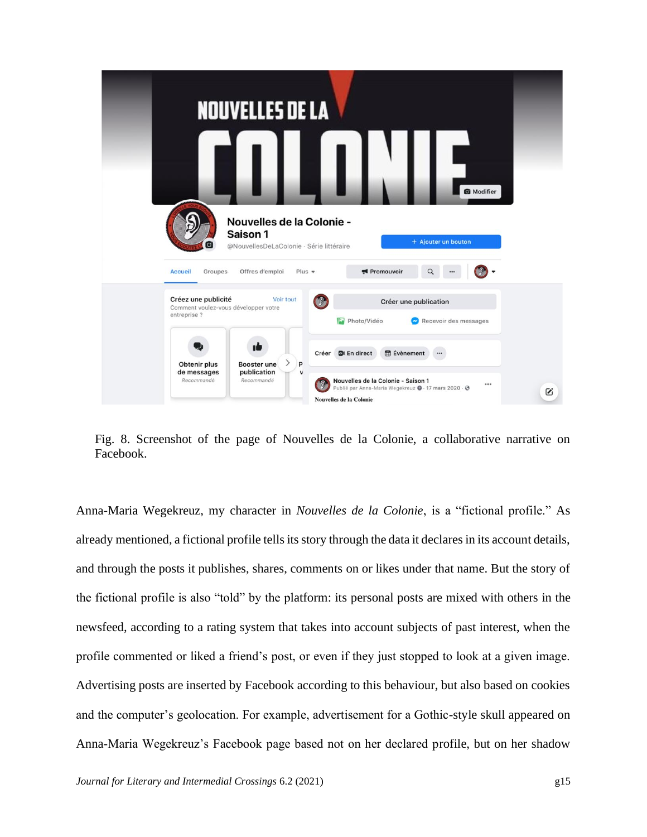

Fig. 8. Screenshot of the page of Nouvelles de la Colonie, a collaborative narrative on Facebook.

Anna-Maria Wegekreuz, my character in *Nouvelles de la Colonie*, is a "fictional profile." As already mentioned, a fictional profile tells its story through the data it declares in its account details, and through the posts it publishes, shares, comments on or likes under that name. But the story of the fictional profile is also "told" by the platform: its personal posts are mixed with others in the newsfeed, according to a rating system that takes into account subjects of past interest, when the profile commented or liked a friend's post, or even if they just stopped to look at a given image. Advertising posts are inserted by Facebook according to this behaviour, but also based on cookies and the computer's geolocation. For example, advertisement for a Gothic-style skull appeared on Anna-Maria Wegekreuz's Facebook page based not on her declared profile, but on her shadow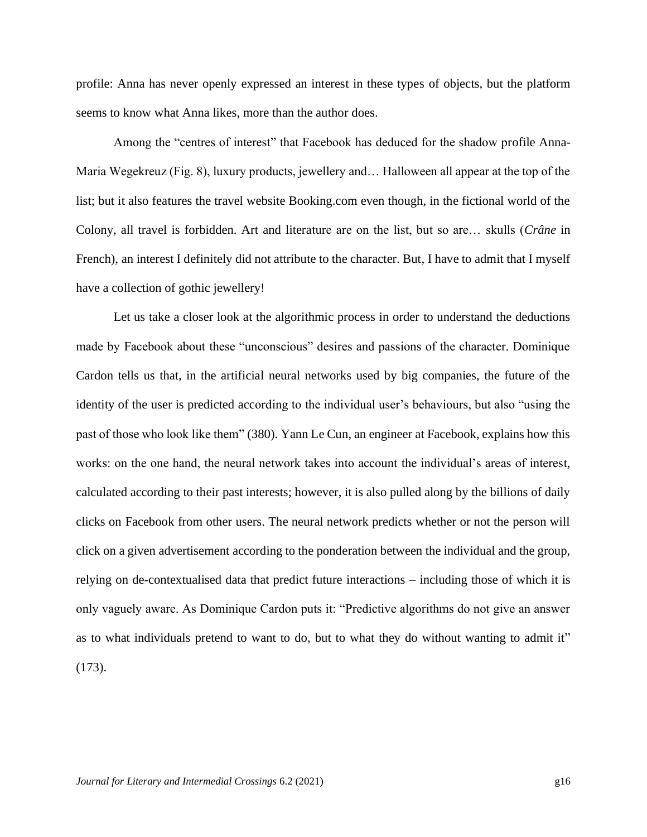profile: Anna has never openly expressed an interest in these types of objects, but the platform seems to know what Anna likes, more than the author does.

Among the "centres of interest" that Facebook has deduced for the shadow profile Anna-Maria Wegekreuz (Fig. 8), luxury products, jewellery and… Halloween all appear at the top of the list; but it also features the travel website Booking.com even though, in the fictional world of the Colony, all travel is forbidden. Art and literature are on the list, but so are… skulls (*Crâne* in French), an interest I definitely did not attribute to the character. But, I have to admit that I myself have a collection of gothic jewellery!

Let us take a closer look at the algorithmic process in order to understand the deductions made by Facebook about these "unconscious" desires and passions of the character. Dominique Cardon tells us that, in the artificial neural networks used by big companies, the future of the identity of the user is predicted according to the individual user's behaviours, but also "using the past of those who look like them" (380). Yann Le Cun, an engineer at Facebook, explains how this works: on the one hand, the neural network takes into account the individual's areas of interest, calculated according to their past interests; however, it is also pulled along by the billions of daily clicks on Facebook from other users. The neural network predicts whether or not the person will click on a given advertisement according to the ponderation between the individual and the group, relying on de-contextualised data that predict future interactions – including those of which it is only vaguely aware. As Dominique Cardon puts it: "Predictive algorithms do not give an answer as to what individuals pretend to want to do, but to what they do without wanting to admit it" (173).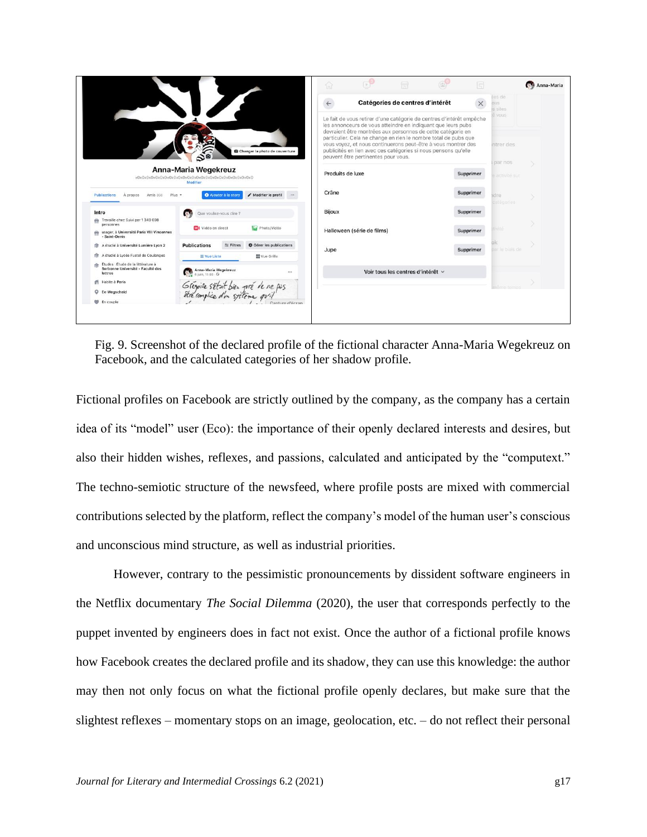|                                                                                                                                 |                                                            |                                 | $\mathbb{R}^n$<br>需<br>⋒                                                                                                                                                                                                                                               | (25)<br>同 |                                  | Anna-Maria |
|---------------------------------------------------------------------------------------------------------------------------------|------------------------------------------------------------|---------------------------------|------------------------------------------------------------------------------------------------------------------------------------------------------------------------------------------------------------------------------------------------------------------------|-----------|----------------------------------|------------|
|                                                                                                                                 |                                                            |                                 | Catégories de centres d'intérêt<br>$\leftarrow$                                                                                                                                                                                                                        | $\times$  | ses de<br><b>DEIS</b><br>s sites |            |
|                                                                                                                                 |                                                            |                                 | Le fait de vous retirer d'une catégorie de centres d'intérêt empêche<br>les annonceurs de vous atteindre en indiquant que leurs pubs<br>devraient être montrées aux personnes de cette catégorie en<br>particulier. Cela ne change en rien le nombre total de pubs que |           | e vous                           |            |
|                                                                                                                                 | $\mathbf{S}^{\mathbf{0}}$                                  | Changer la photo de couverture  | vous voyez, et nous continuerons peut-être à vous montrer des<br>publicités en lien avec ces catégories si nous pensons qu'elle<br>peuvent être pertinentes pour vous.                                                                                                 |           | ntrer des<br>par nos             |            |
|                                                                                                                                 | Anna-Maria Wegekreuz<br>Modifier                           |                                 | Produits de luxe                                                                                                                                                                                                                                                       | Supprimer | activité sur                     |            |
| <b>Publications</b><br>Amis 350<br>A propos                                                                                     | Ajouter à la story<br>$Plus =$                             | / Modifier le profil            | Crâne                                                                                                                                                                                                                                                                  | Supprimer | dre<br><b>catégories</b>         |            |
| Intro<br>Travaille chez Suivi par 1 349 698                                                                                     | <b>CER</b><br>Que voulez-vous dire ?                       |                                 | <b>Bijoux</b>                                                                                                                                                                                                                                                          | Supprimer |                                  |            |
| dita.<br>personnes<br>usager, à Université Paris VIII Vincennes                                                                 | Of Vidéo en direct                                         | Fig. Photo/Vidéo                | Halloween (série de films)                                                                                                                                                                                                                                             | Supprimer | tivité                           |            |
| - Saint-Denis                                                                                                                   |                                                            |                                 |                                                                                                                                                                                                                                                                        |           |                                  |            |
| A étudié à Université Lumière Lyon 2                                                                                            | <b>Publications</b><br>$\frac{4}{100}$ Filtres             | <b>章 Gérer les publications</b> | Jupe                                                                                                                                                                                                                                                                   | Supprimer | ar le biais de                   |            |
| A étudié à Lycée Fustel de Coulanges<br>Études : Étude de la littérature à<br>办<br>Sorbonne Université - Faculté des<br>lettres | $\equiv$ Vue Liste                                         | Vue Grille<br>$\cdots$          | Voir tous les centres d'intérêt v                                                                                                                                                                                                                                      |           |                                  |            |
| Habite à Paris<br>ñ                                                                                                             | Anna-Maria Wegekreuz<br>Grégoire sétait bien pré de ne pas |                                 |                                                                                                                                                                                                                                                                        |           |                                  |            |

Fig. 9. Screenshot of the declared profile of the fictional character Anna-Maria Wegekreuz on Facebook, and the calculated categories of her shadow profile.

Fictional profiles on Facebook are strictly outlined by the company, as the company has a certain idea of its "model" user (Eco): the importance of their openly declared interests and desires, but also their hidden wishes, reflexes, and passions, calculated and anticipated by the "computext." The techno-semiotic structure of the newsfeed, where profile posts are mixed with commercial contributions selected by the platform, reflect the company's model of the human user's conscious and unconscious mind structure, as well as industrial priorities.

However, contrary to the pessimistic pronouncements by dissident software engineers in the Netflix documentary *The Social Dilemma* (2020), the user that corresponds perfectly to the puppet invented by engineers does in fact not exist. Once the author of a fictional profile knows how Facebook creates the declared profile and its shadow, they can use this knowledge: the author may then not only focus on what the fictional profile openly declares, but make sure that the slightest reflexes – momentary stops on an image, geolocation, etc. – do not reflect their personal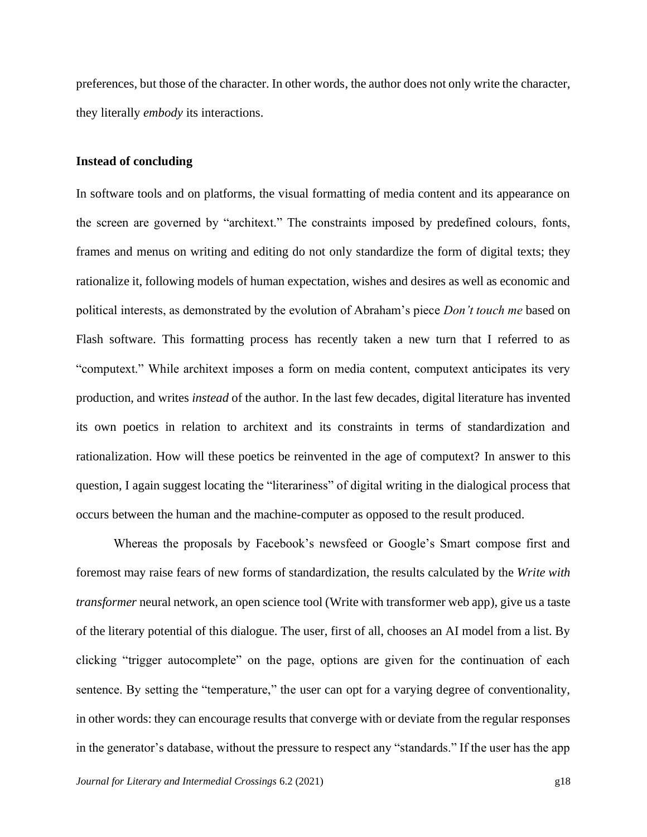preferences, but those of the character. In other words, the author does not only write the character, they literally *embody* its interactions.

## **Instead of concluding**

In software tools and on platforms, the visual formatting of media content and its appearance on the screen are governed by "architext." The constraints imposed by predefined colours, fonts, frames and menus on writing and editing do not only standardize the form of digital texts; they rationalize it, following models of human expectation, wishes and desires as well as economic and political interests, as demonstrated by the evolution of Abraham's piece *Don't touch me* based on Flash software. This formatting process has recently taken a new turn that I referred to as "computext." While architext imposes a form on media content, computext anticipates its very production, and writes *instead* of the author. In the last few decades, digital literature has invented its own poetics in relation to architext and its constraints in terms of standardization and rationalization. How will these poetics be reinvented in the age of computext? In answer to this question, I again suggest locating the "literariness" of digital writing in the dialogical process that occurs between the human and the machine-computer as opposed to the result produced.

Whereas the proposals by Facebook's newsfeed or Google's Smart compose first and foremost may raise fears of new forms of standardization, the results calculated by the *Write with transformer* neural network, an open science tool (Write with transformer web app), give us a taste of the literary potential of this dialogue. The user, first of all, chooses an AI model from a list. By clicking "trigger autocomplete" on the page, options are given for the continuation of each sentence. By setting the "temperature," the user can opt for a varying degree of conventionality, in other words: they can encourage results that converge with or deviate from the regular responses in the generator's database, without the pressure to respect any "standards." If the user has the app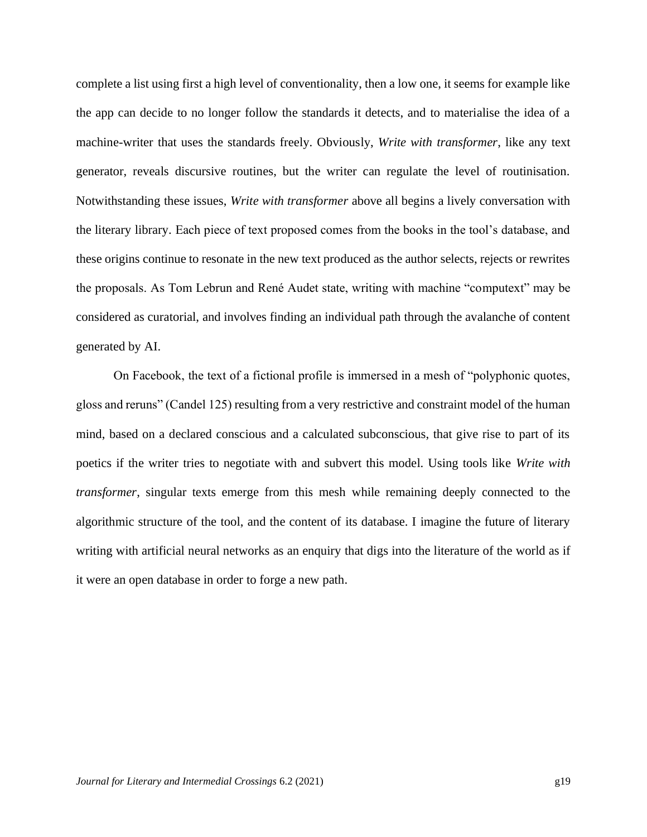complete a list using first a high level of conventionality, then a low one, it seems for example like the app can decide to no longer follow the standards it detects, and to materialise the idea of a machine-writer that uses the standards freely. Obviously, *Write with transformer*, like any text generator, reveals discursive routines, but the writer can regulate the level of routinisation. Notwithstanding these issues, *Write with transformer* above all begins a lively conversation with the literary library. Each piece of text proposed comes from the books in the tool's database, and these origins continue to resonate in the new text produced as the author selects, rejects or rewrites the proposals. As Tom Lebrun and René Audet state, writing with machine "computext" may be considered as curatorial, and involves finding an individual path through the avalanche of content generated by AI.

On Facebook, the text of a fictional profile is immersed in a mesh of "polyphonic quotes, gloss and reruns" (Candel 125) resulting from a very restrictive and constraint model of the human mind, based on a declared conscious and a calculated subconscious, that give rise to part of its poetics if the writer tries to negotiate with and subvert this model. Using tools like *Write with transformer*, singular texts emerge from this mesh while remaining deeply connected to the algorithmic structure of the tool, and the content of its database. I imagine the future of literary writing with artificial neural networks as an enquiry that digs into the literature of the world as if it were an open database in order to forge a new path.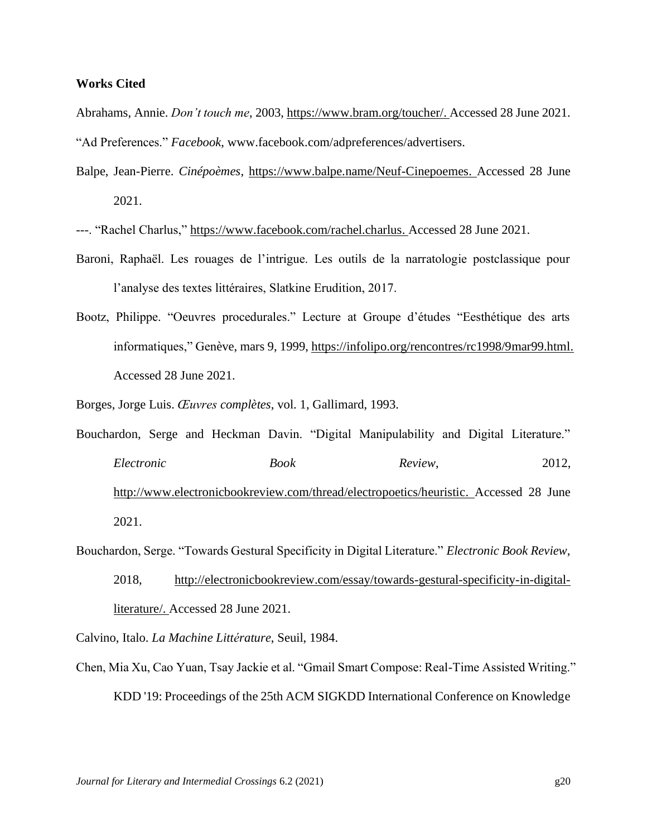# **Works Cited**

Abrahams, Annie. *Don't touch me*, 2003, [https://www.bram.org/toucher/.](https://www.bram.org/toucher/) Accessed 28 June 2021. "Ad Preferences." *Facebook*, www.facebook.com/adpreferences/advertisers.

Balpe, Jean-Pierre. *Cinépoèmes*, [https://www.balpe.name/Neuf-Cinepoemes.](https://www.balpe.name/Neuf-Cinepoemes) Accessed 28 June 2021.

---. "Rachel Charlus," [https://www.facebook.com/rachel.charlus.](https://www.facebook.com/rachel.charlus) Accessed 28 June 2021.

- Baroni, Raphaël. Les rouages de l'intrigue. Les outils de la narratologie postclassique pour l'analyse des textes littéraires, Slatkine Erudition, 2017.
- Bootz, Philippe. "Oeuvres procedurales." Lecture at Groupe d'études "Eesthétique des arts informatiques," Genève, mars 9, 1999[, https://infolipo.org/rencontres/rc1998/9mar99.html.](https://infolipo.org/rencontres/rc1998/9mar99.html) Accessed 28 June 2021.

Borges, Jorge Luis. *Œuvres complètes*, vol. 1, Gallimard, 1993.

Bouchardon, Serge and Heckman Davin. "Digital Manipulability and Digital Literature." *Electronic Book Review*, 2012, [http://www.electronicbookreview.com/thread/electropoetics/heuristic.](http://www.electronicbookreview.com/thread/electropoetics/heuristic) Accessed 28 June 2021.

Bouchardon, Serge. "Towards Gestural Specificity in Digital Literature." *Electronic Book Review*,

2018, [http://electronicbookreview.com/essay/towards-gestural-specificity-in-digital](http://electronicbookreview.com/essay/towards-gestural-specificity-in-digital-literature/)[literature/.](http://electronicbookreview.com/essay/towards-gestural-specificity-in-digital-literature/) Accessed 28 June 2021.

Calvino, Italo. *La Machine Littérature*, Seuil, 1984.

Chen, Mia Xu, Cao Yuan, Tsay Jackie et al. "Gmail Smart Compose: Real-Time Assisted Writing." [KDD '19: Proceedings of the 25th ACM SIGKDD International Conference on Knowledge](https://dl.acm.org/doi/proceedings/10.1145/3292500)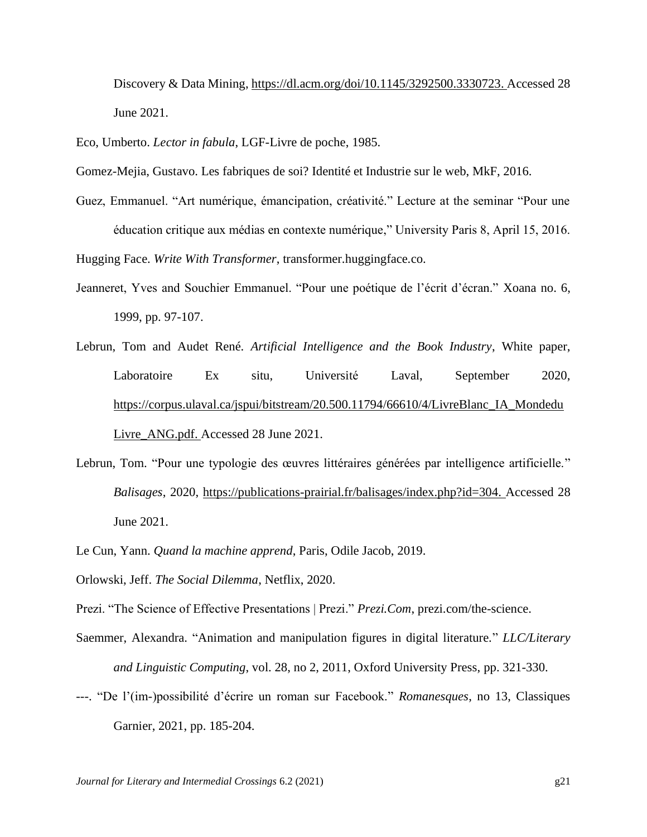[Discovery & Data Mining,](https://dl.acm.org/doi/proceedings/10.1145/3292500) [https://dl.acm.org/doi/10.1145/3292500.3330723.](https://dl.acm.org/doi/10.1145/3292500.3330723) Accessed 28 June 2021.

Eco, Umberto. *Lector in fabula*, LGF-Livre de poche, 1985.

Gomez-Mejia, Gustavo. Les fabriques de soi? Identité et Industrie sur le web, MkF, 2016.

Guez, Emmanuel. "Art numérique, émancipation, créativité." Lecture at the seminar "Pour une éducation critique aux médias en contexte numérique," University Paris 8, April 15, 2016.

Hugging Face. *Write With Transformer*, transformer.huggingface.co.

- Jeanneret, Yves and Souchier Emmanuel. "Pour une poétique de l'écrit d'écran." Xoana no. 6, 1999, pp. 97-107.
- Lebrun, Tom and Audet René. *Artificial Intelligence and the Book Industry*, White paper, Laboratoire Ex situ, Université Laval, September 2020, [https://corpus.ulaval.ca/jspui/bitstream/20.500.11794/66610/4/LivreBlanc\\_IA\\_Mondedu](https://corpus.ulaval.ca/jspui/bitstream/20.500.11794/66610/4/LivreBlanc_IA_MondeduLivre_ANG.pdf) Livre ANG.pdf. Accessed 28 June 2021.
- Lebrun, Tom. "Pour une typologie des œuvres littéraires générées par intelligence artificielle." *Balisages*, 2020, [https://publications-prairial.fr/balisages/index.php?id=304.](https://publications-prairial.fr/balisages/index.php?id=304) Accessed 28 June 2021.
- Le Cun, Yann. *Quand la machine apprend*, Paris, Odile Jacob, 2019.
- Orlowski, Jeff. *The Social Dilemma*, Netflix, 2020.
- Prezi. "The Science of Effective Presentations | Prezi." *Prezi.Com*, prezi.com/the-science.
- Saemmer, Alexandra. "Animation and manipulation figures in digital literature." *LLC/Literary and Linguistic Computing*, vol. 28, no 2, 2011, Oxford University Press, pp. 321-330.
- ---. "De l'(im-)possibilité d'écrire un roman sur Facebook." *Romanesques*, no 13, Classiques Garnier, 2021, pp. 185-204.